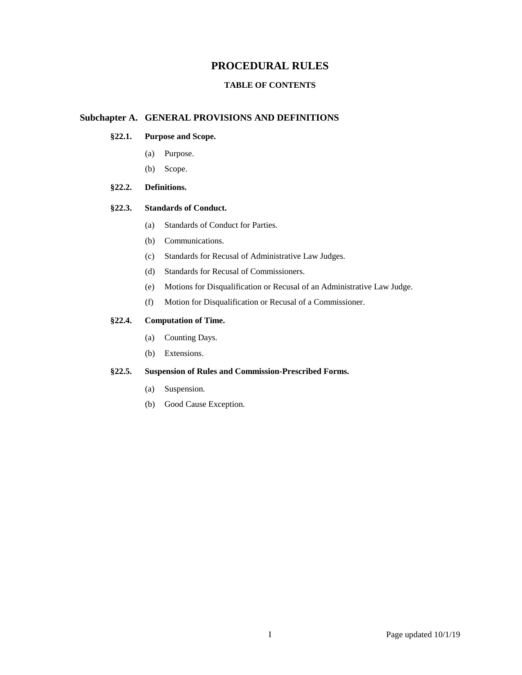# **PROCEDURAL RULES**

# **TABLE OF CONTENTS**

# **Subchapter A. GENERAL PROVISIONS AND DEFINITIONS**

# **§22.1. Purpose and Scope.**

- (a) Purpose.
- (b) Scope.

## **§22.2. Definitions.**

## **§22.3. Standards of Conduct.**

- (a) Standards of Conduct for Parties.
- (b) Communications.
- (c) Standards for Recusal of Administrative Law Judges.
- (d) Standards for Recusal of Commissioners.
- (e) Motions for Disqualification or Recusal of an Administrative Law Judge.
- (f) Motion for Disqualification or Recusal of a Commissioner.

## **§22.4. Computation of Time.**

- (a) Counting Days.
- (b) Extensions.

## **§22.5. Suspension of Rules and Commission-Prescribed Forms.**

- (a) Suspension.
- (b) Good Cause Exception.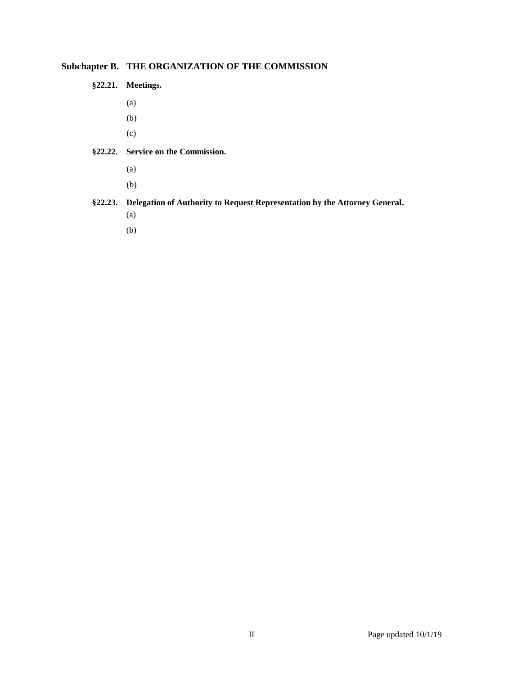# **Subchapter B. THE ORGANIZATION OF THE COMMISSION**

- **§22.21. Meetings.**
	- (a)
	- (b)
	- (c)
- **§22.22. Service on the Commission.**
	- (a)
	- (b)

# **§22.23. Delegation of Authority to Request Representation by the Attorney General.**

- (a)
- (b)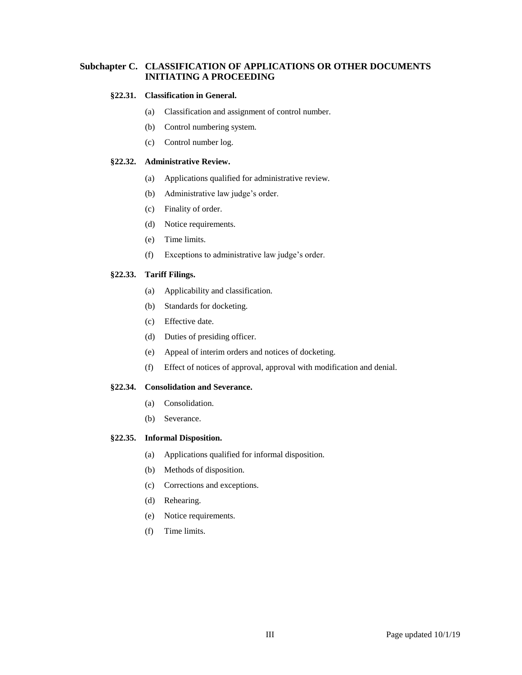# **Subchapter C. CLASSIFICATION OF APPLICATIONS OR OTHER DOCUMENTS INITIATING A PROCEEDING**

#### **§22.31. Classification in General.**

- (a) Classification and assignment of control number.
- (b) Control numbering system.
- (c) Control number log.

## **§22.32. Administrative Review.**

- (a) Applications qualified for administrative review.
- (b) Administrative law judge's order.
- (c) Finality of order.
- (d) Notice requirements.
- (e) Time limits.
- (f) Exceptions to administrative law judge's order.

## **§22.33. Tariff Filings.**

- (a) Applicability and classification.
- (b) Standards for docketing.
- (c) Effective date.
- (d) Duties of presiding officer.
- (e) Appeal of interim orders and notices of docketing.
- (f) Effect of notices of approval, approval with modification and denial.

## **§22.34. Consolidation and Severance.**

- (a) Consolidation.
- (b) Severance.

#### **§22.35. Informal Disposition.**

- (a) Applications qualified for informal disposition.
- (b) Methods of disposition.
- (c) Corrections and exceptions.
- (d) Rehearing.
- (e) Notice requirements.
- (f) Time limits.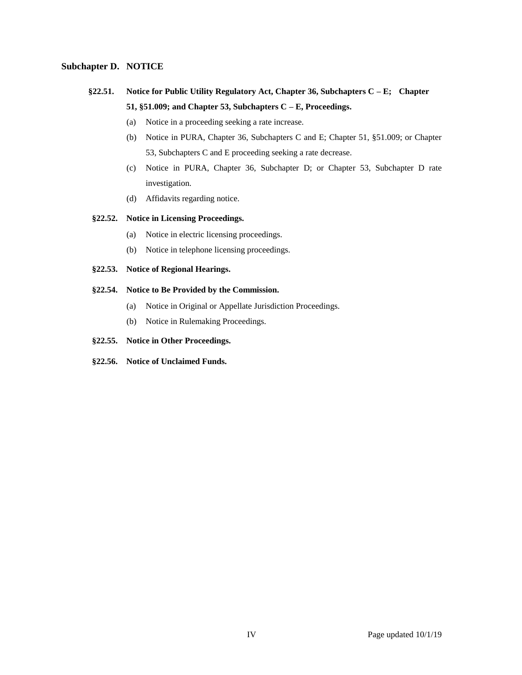## **Subchapter D. NOTICE**

- **§22.51. Notice for Public Utility Regulatory Act, Chapter 36, Subchapters C – E; Chapter 51, §51.009; and Chapter 53, Subchapters C – E, Proceedings.**
	- (a) Notice in a proceeding seeking a rate increase.
	- (b) Notice in PURA, Chapter 36, Subchapters C and E; Chapter 51, §51.009; or Chapter 53, Subchapters C and E proceeding seeking a rate decrease.
	- (c) Notice in PURA, Chapter 36, Subchapter D; or Chapter 53, Subchapter D rate investigation.
	- (d) Affidavits regarding notice.

## **§22.52. Notice in Licensing Proceedings.**

- (a) Notice in electric licensing proceedings.
- (b) Notice in telephone licensing proceedings.

## **§22.53. Notice of Regional Hearings.**

## **§22.54. Notice to Be Provided by the Commission.**

- (a) Notice in Original or Appellate Jurisdiction Proceedings.
- (b) Notice in Rulemaking Proceedings.
- **§22.55. Notice in Other Proceedings.**
- **§22.56. Notice of Unclaimed Funds.**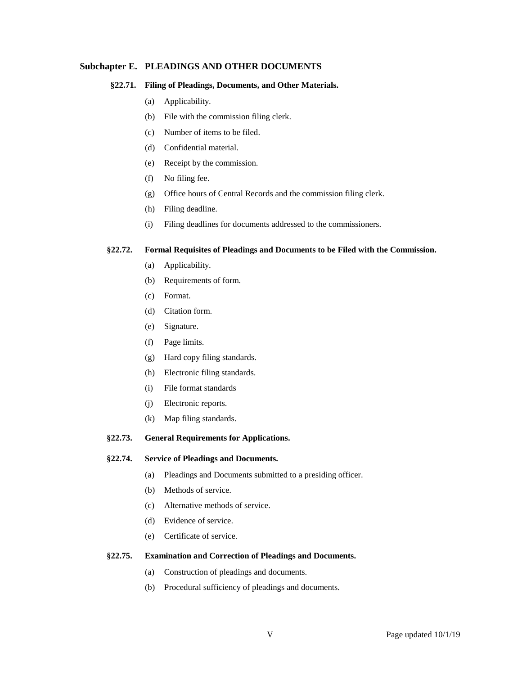## **Subchapter E. PLEADINGS AND OTHER DOCUMENTS**

#### **§22.71. Filing of Pleadings, Documents, and Other Materials.**

- (a) Applicability.
- (b) File with the commission filing clerk.
- (c) Number of items to be filed.
- (d) Confidential material.
- (e) Receipt by the commission.
- (f) No filing fee.
- (g) Office hours of Central Records and the commission filing clerk.
- (h) Filing deadline.
- (i) Filing deadlines for documents addressed to the commissioners.

#### **§22.72. Formal Requisites of Pleadings and Documents to be Filed with the Commission.**

- (a) Applicability.
- (b) Requirements of form.
- (c) Format.
- (d) Citation form.
- (e) Signature.
- (f) Page limits.
- (g) Hard copy filing standards.
- (h) Electronic filing standards.
- (i) File format standards
- (j) Electronic reports.
- (k) Map filing standards.
- **§22.73. General Requirements for Applications.**

#### **§22.74. Service of Pleadings and Documents.**

- (a) Pleadings and Documents submitted to a presiding officer.
- (b) Methods of service.
- (c) Alternative methods of service.
- (d) Evidence of service.
- (e) Certificate of service.

#### **§22.75. Examination and Correction of Pleadings and Documents.**

- (a) Construction of pleadings and documents.
- (b) Procedural sufficiency of pleadings and documents.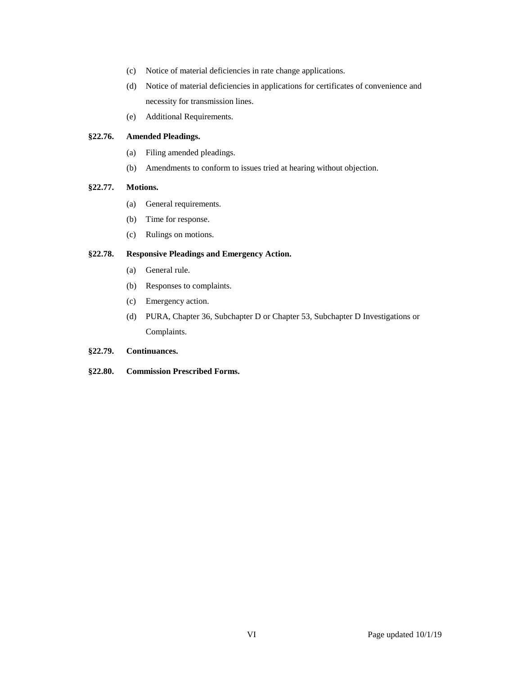- (c) Notice of material deficiencies in rate change applications.
- (d) Notice of material deficiencies in applications for certificates of convenience and necessity for transmission lines.
- (e) Additional Requirements.

#### **§22.76. Amended Pleadings.**

- (a) Filing amended pleadings.
- (b) Amendments to conform to issues tried at hearing without objection.

# **§22.77. Motions.**

- (a) General requirements.
- (b) Time for response.
- (c) Rulings on motions.

## **§22.78. Responsive Pleadings and Emergency Action.**

- (a) General rule.
- (b) Responses to complaints.
- (c) Emergency action.
- (d) PURA, Chapter 36, Subchapter D or Chapter 53, Subchapter D Investigations or Complaints.

## **§22.79. Continuances.**

## **§22.80. Commission Prescribed Forms.**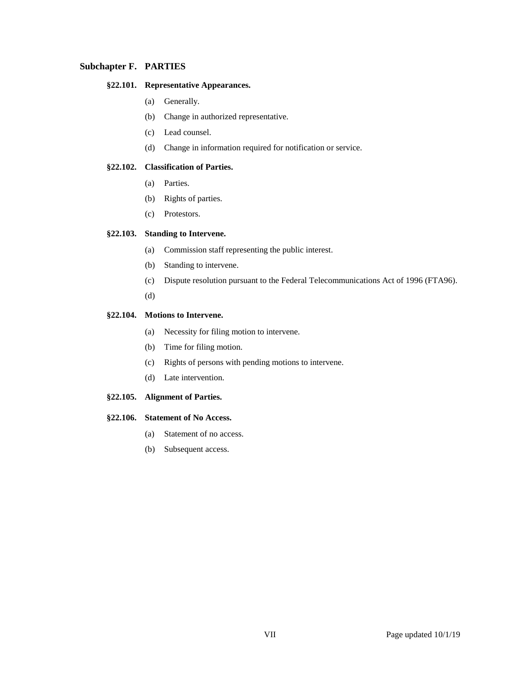## **Subchapter F. PARTIES**

### **§22.101. Representative Appearances.**

- (a) Generally.
- (b) Change in authorized representative.
- (c) Lead counsel.
- (d) Change in information required for notification or service.

#### **§22.102. Classification of Parties.**

- (a) Parties.
- (b) Rights of parties.
- (c) Protestors.

#### **§22.103. Standing to Intervene.**

- (a) Commission staff representing the public interest.
- (b) Standing to intervene.
- (c) Dispute resolution pursuant to the Federal Telecommunications Act of 1996 (FTA96).
- (d)

## **§22.104. Motions to Intervene.**

- (a) Necessity for filing motion to intervene.
- (b) Time for filing motion.
- (c) Rights of persons with pending motions to intervene.
- (d) Late intervention.
- **§22.105. Alignment of Parties.**

#### **§22.106. Statement of No Access.**

- (a) Statement of no access.
- (b) Subsequent access.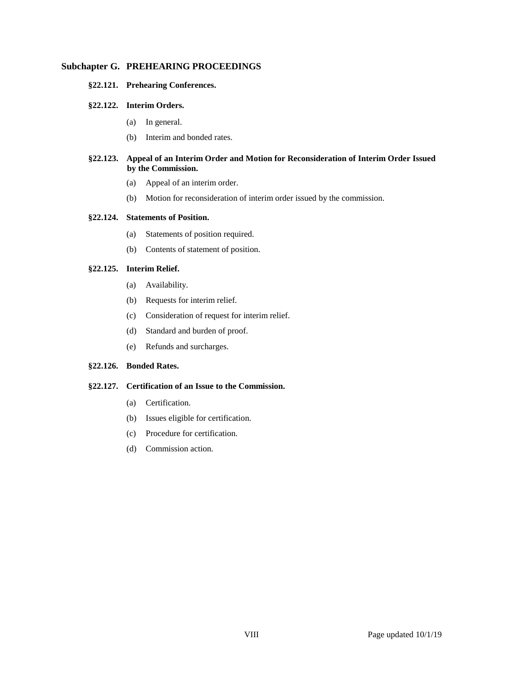## **Subchapter G. PREHEARING PROCEEDINGS**

#### **§22.121. Prehearing Conferences.**

#### **§22.122. Interim Orders.**

- (a) In general.
- (b) Interim and bonded rates.

## **§22.123. Appeal of an Interim Order and Motion for Reconsideration of Interim Order Issued by the Commission.**

- (a) Appeal of an interim order.
- (b) Motion for reconsideration of interim order issued by the commission.

#### **§22.124. Statements of Position.**

- (a) Statements of position required.
- (b) Contents of statement of position.

## **§22.125. Interim Relief.**

- (a) Availability.
- (b) Requests for interim relief.
- (c) Consideration of request for interim relief.
- (d) Standard and burden of proof.
- (e) Refunds and surcharges.

## **§22.126. Bonded Rates.**

## **§22.127. Certification of an Issue to the Commission.**

- (a) Certification.
- (b) Issues eligible for certification.
- (c) Procedure for certification.
- (d) Commission action.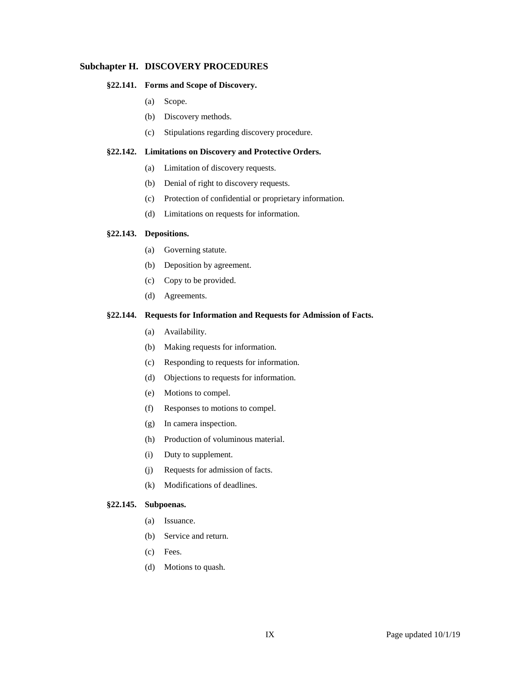# **Subchapter H. DISCOVERY PROCEDURES**

#### **§22.141. Forms and Scope of Discovery.**

- (a) Scope.
- (b) Discovery methods.
- (c) Stipulations regarding discovery procedure.

#### **§22.142. Limitations on Discovery and Protective Orders.**

- (a) Limitation of discovery requests.
- (b) Denial of right to discovery requests.
- (c) Protection of confidential or proprietary information.
- (d) Limitations on requests for information.

#### **§22.143. Depositions.**

- (a) Governing statute.
- (b) Deposition by agreement.
- (c) Copy to be provided.
- (d) Agreements.

## **§22.144. Requests for Information and Requests for Admission of Facts.**

- (a) Availability.
- (b) Making requests for information.
- (c) Responding to requests for information.
- (d) Objections to requests for information.
- (e) Motions to compel.
- (f) Responses to motions to compel.
- (g) In camera inspection.
- (h) Production of voluminous material.
- (i) Duty to supplement.
- (j) Requests for admission of facts.
- (k) Modifications of deadlines.

#### **§22.145. Subpoenas.**

- (a) Issuance.
- (b) Service and return.
- (c) Fees.
- (d) Motions to quash.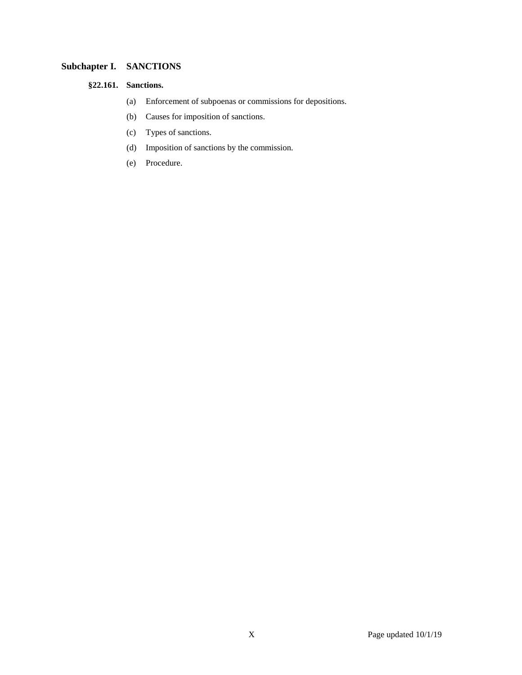# **Subchapter I. SANCTIONS**

## **§22.161. Sanctions.**

- (a) Enforcement of subpoenas or commissions for depositions.
- (b) Causes for imposition of sanctions.
- (c) Types of sanctions.
- (d) Imposition of sanctions by the commission.
- (e) Procedure.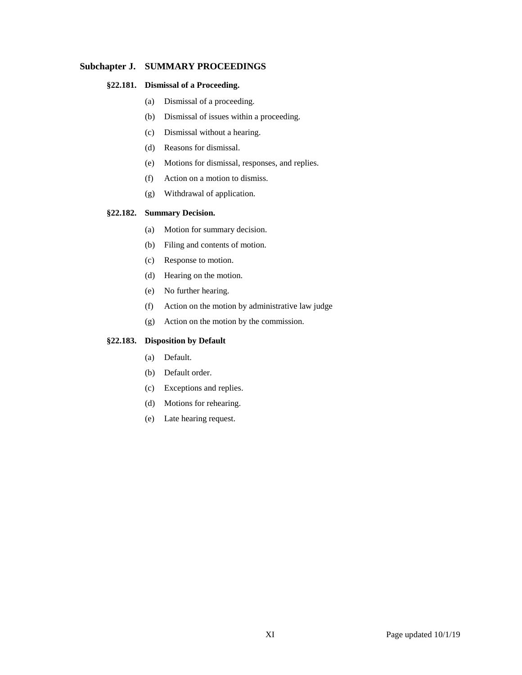## **Subchapter J. SUMMARY PROCEEDINGS**

## **§22.181. Dismissal of a Proceeding.**

- (a) Dismissal of a proceeding.
- (b) Dismissal of issues within a proceeding.
- (c) Dismissal without a hearing.
- (d) Reasons for dismissal.
- (e) Motions for dismissal, responses, and replies.
- (f) Action on a motion to dismiss.
- (g) Withdrawal of application.

#### **§22.182. Summary Decision.**

- (a) Motion for summary decision.
- (b) Filing and contents of motion.
- (c) Response to motion.
- (d) Hearing on the motion.
- (e) No further hearing.
- (f) Action on the motion by administrative law judge
- (g) Action on the motion by the commission.

# **§22.183. Disposition by Default**

- (a) Default.
- (b) Default order.
- (c) Exceptions and replies.
- (d) Motions for rehearing.
- (e) Late hearing request.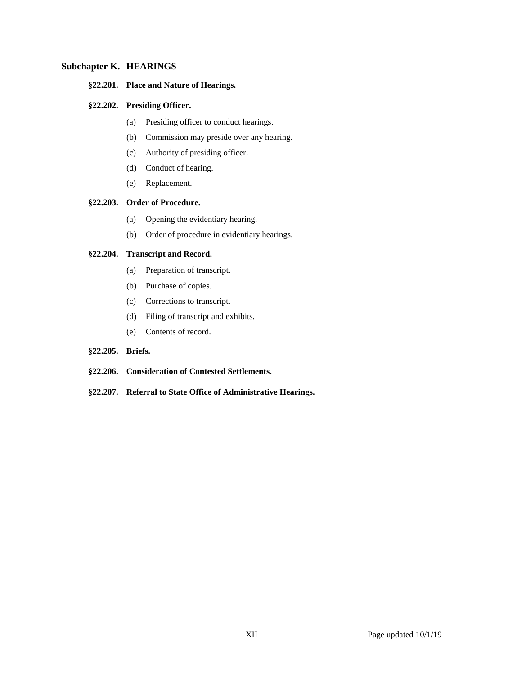## **Subchapter K. HEARINGS**

#### **§22.201. Place and Nature of Hearings.**

## **§22.202. Presiding Officer.**

- (a) Presiding officer to conduct hearings.
- (b) Commission may preside over any hearing.
- (c) Authority of presiding officer.
- (d) Conduct of hearing.
- (e) Replacement.

#### **§22.203. Order of Procedure.**

- (a) Opening the evidentiary hearing.
- (b) Order of procedure in evidentiary hearings.

## **§22.204. Transcript and Record.**

- (a) Preparation of transcript.
- (b) Purchase of copies.
- (c) Corrections to transcript.
- (d) Filing of transcript and exhibits.
- (e) Contents of record.

#### **§22.205. Briefs.**

- **§22.206. Consideration of Contested Settlements.**
- **§22.207. Referral to State Office of Administrative Hearings.**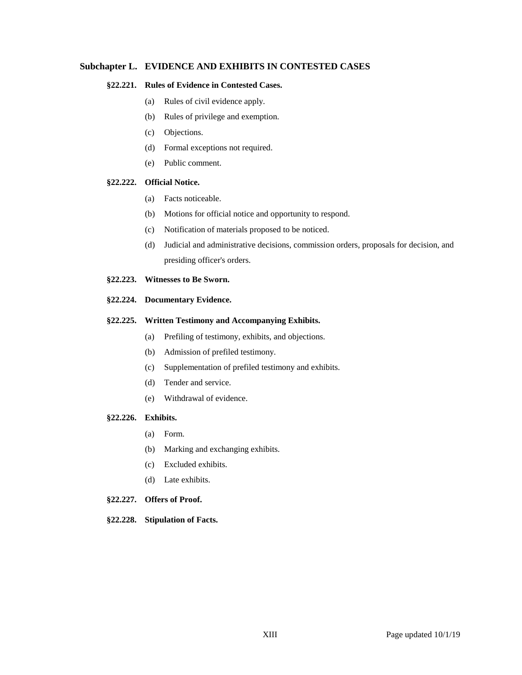## **Subchapter L. EVIDENCE AND EXHIBITS IN CONTESTED CASES**

## **§22.221. Rules of Evidence in Contested Cases.**

- (a) Rules of civil evidence apply.
- (b) Rules of privilege and exemption.
- (c) Objections.
- (d) Formal exceptions not required.
- (e) Public comment.

#### **§22.222. Official Notice.**

- (a) Facts noticeable.
- (b) Motions for official notice and opportunity to respond.
- (c) Notification of materials proposed to be noticed.
- (d) Judicial and administrative decisions, commission orders, proposals for decision, and presiding officer's orders.
- **§22.223. Witnesses to Be Sworn.**

## **§22.224. Documentary Evidence.**

#### **§22.225. Written Testimony and Accompanying Exhibits.**

- (a) Prefiling of testimony, exhibits, and objections.
- (b) Admission of prefiled testimony.
- (c) Supplementation of prefiled testimony and exhibits.
- (d) Tender and service.
- (e) Withdrawal of evidence.

#### **§22.226. Exhibits.**

- (a) Form.
- (b) Marking and exchanging exhibits.
- (c) Excluded exhibits.
- (d) Late exhibits.

#### **§22.227. Offers of Proof.**

**§22.228. Stipulation of Facts.**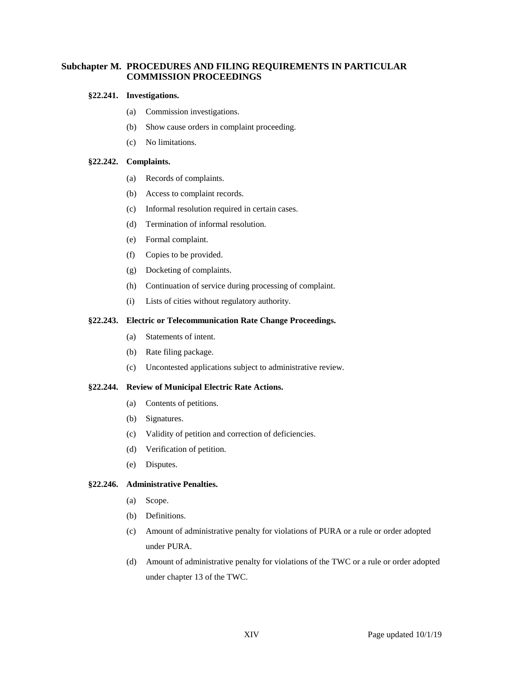# **Subchapter M. PROCEDURES AND FILING REQUIREMENTS IN PARTICULAR COMMISSION PROCEEDINGS**

#### **§22.241. Investigations.**

- (a) Commission investigations.
- (b) Show cause orders in complaint proceeding.
- (c) No limitations.

#### **§22.242. Complaints.**

- (a) Records of complaints.
- (b) Access to complaint records.
- (c) Informal resolution required in certain cases.
- (d) Termination of informal resolution.
- (e) Formal complaint.
- (f) Copies to be provided.
- (g) Docketing of complaints.
- (h) Continuation of service during processing of complaint.
- (i) Lists of cities without regulatory authority.

#### **§22.243. Electric or Telecommunication Rate Change Proceedings.**

- (a) Statements of intent.
- (b) Rate filing package.
- (c) Uncontested applications subject to administrative review.

#### **§22.244. Review of Municipal Electric Rate Actions.**

- (a) Contents of petitions.
- (b) Signatures.
- (c) Validity of petition and correction of deficiencies.
- (d) Verification of petition.
- (e) Disputes.

#### **§22.246. Administrative Penalties.**

- (a) Scope.
- (b) Definitions.
- (c) Amount of administrative penalty for violations of PURA or a rule or order adopted under PURA.
- (d) Amount of administrative penalty for violations of the TWC or a rule or order adopted under chapter 13 of the TWC.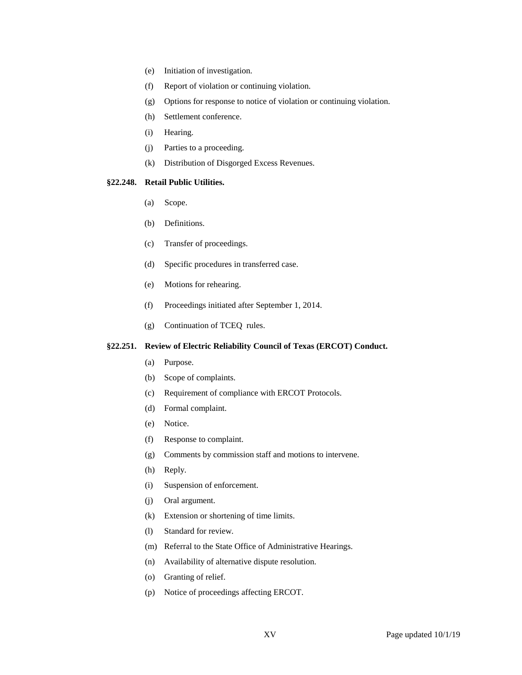- (e) Initiation of investigation.
- (f) Report of violation or continuing violation.
- (g) Options for response to notice of violation or continuing violation.
- (h) Settlement conference.
- (i) Hearing.
- (j) Parties to a proceeding.
- (k) Distribution of Disgorged Excess Revenues.

## **§22.248. Retail Public Utilities.**

- (a) Scope.
- (b) Definitions.
- (c) Transfer of proceedings.
- (d) Specific procedures in transferred case.
- (e) Motions for rehearing.
- (f) Proceedings initiated after September 1, 2014.
- (g) Continuation of TCEQ rules.

#### **§22.251. Review of Electric Reliability Council of Texas (ERCOT) Conduct.**

- (a) Purpose.
- (b) Scope of complaints.
- (c) Requirement of compliance with ERCOT Protocols.
- (d) Formal complaint.
- (e) Notice.
- (f) Response to complaint.
- (g) Comments by commission staff and motions to intervene.
- (h) Reply.
- (i) Suspension of enforcement.
- (j) Oral argument.
- (k) Extension or shortening of time limits.
- (l) Standard for review.
- (m) Referral to the State Office of Administrative Hearings.
- (n) Availability of alternative dispute resolution.
- (o) Granting of relief.
- (p) Notice of proceedings affecting ERCOT.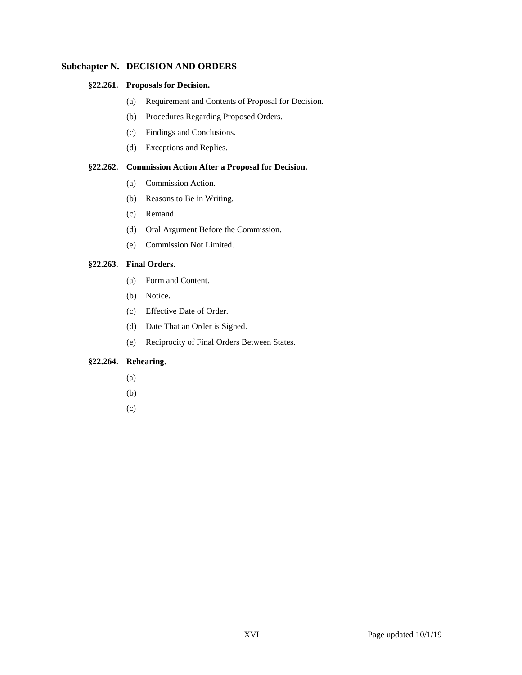## **Subchapter N. DECISION AND ORDERS**

#### **§22.261. Proposals for Decision.**

- (a) Requirement and Contents of Proposal for Decision.
- (b) Procedures Regarding Proposed Orders.
- (c) Findings and Conclusions.
- (d) Exceptions and Replies.

## **§22.262. Commission Action After a Proposal for Decision.**

- (a) Commission Action.
- (b) Reasons to Be in Writing.
- (c) Remand.
- (d) Oral Argument Before the Commission.
- (e) Commission Not Limited.

## **§22.263. Final Orders.**

- (a) Form and Content.
- (b) Notice.
- (c) Effective Date of Order.
- (d) Date That an Order is Signed.
- (e) Reciprocity of Final Orders Between States.

# **§22.264. Rehearing.**

- (a)
- (b)
- (c)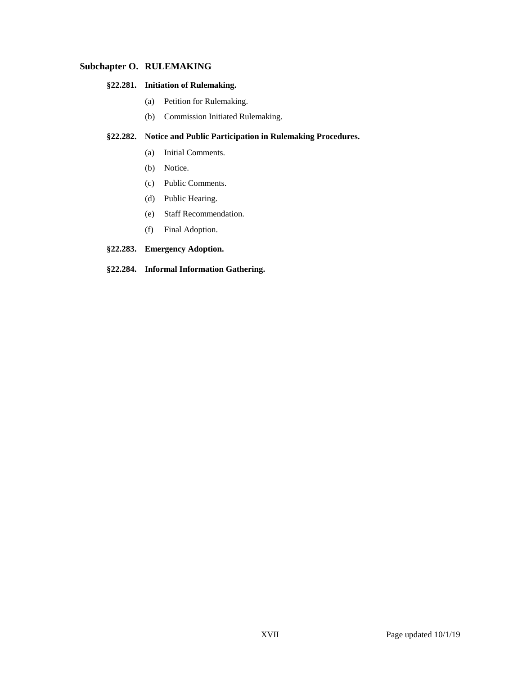# **Subchapter O. RULEMAKING**

## **§22.281. Initiation of Rulemaking.**

- (a) Petition for Rulemaking.
- (b) Commission Initiated Rulemaking.

# **§22.282. Notice and Public Participation in Rulemaking Procedures.**

- (a) Initial Comments.
- (b) Notice.
- (c) Public Comments.
- (d) Public Hearing.
- (e) Staff Recommendation.
- (f) Final Adoption.

# **§22.283. Emergency Adoption.**

#### **§22.284. Informal Information Gathering.**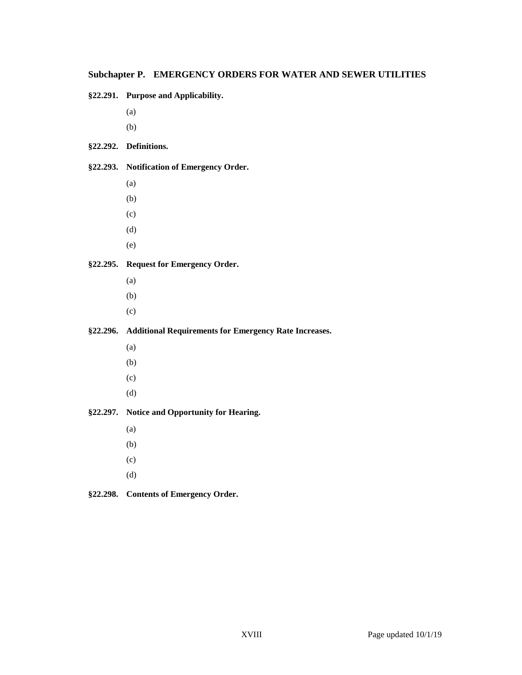# **Subchapter P. EMERGENCY ORDERS FOR WATER AND SEWER UTILITIES**

**§22.291. Purpose and Applicability.**

- (a)
- (b)

# **§22.292. Definitions.**

# **§22.293. Notification of Emergency Order.**

- (a)
- (b)
- (c)
- (d)
- (e)

# **§22.295. Request for Emergency Order.**

- (a)
- (b)
- (c)

# **§22.296. Additional Requirements for Emergency Rate Increases.**

- (a)
- (b)
- (c)
- (d)

# **§22.297. Notice and Opportunity for Hearing.**

- (a)
- (b)
- (c)
- (d)

# **§22.298. Contents of Emergency Order.**